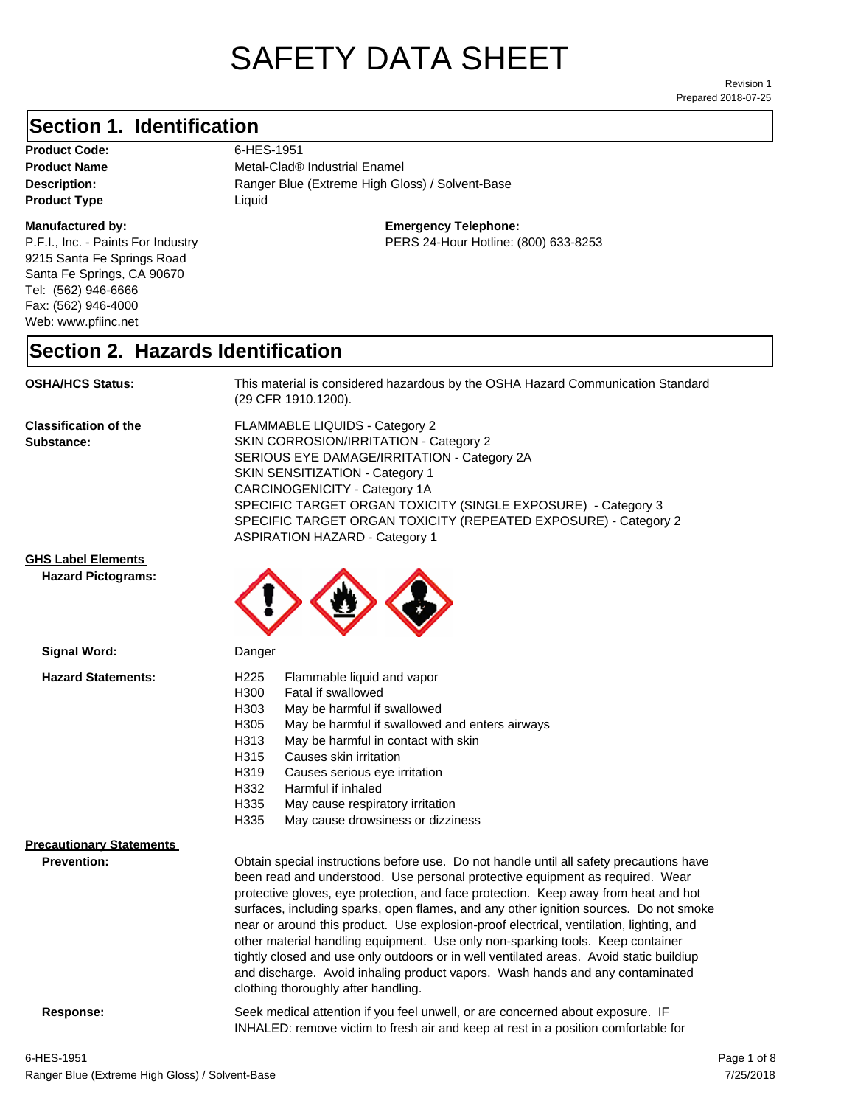# SAFETY DATA SHEET

Prepared 2018-07-25 Revision 1

#### **Section 1. Identification**

Product Code: 6-HES-1951 **Product Type** Liquid

#### **Manufactured by:**

P.F.I., Inc. - Paints For Industry 9215 Santa Fe Springs Road Santa Fe Springs, CA 90670 Tel: (562) 946-6666 Fax: (562) 946-4000 Web: www.pfiinc.net

Description: **Nanger Blue (Extreme High Gloss) / Solvent-Base Product Name** Metal-Clad<sup>®</sup> Industrial Enamel

#### **Emergency Telephone:**

PERS 24-Hour Hotline: (800) 633-8253

#### **Section 2. Hazards Identification**

**OSHA/HCS Status:** This material is considered hazardous by the OSHA Hazard Communication Standard (29 CFR 1910.1200).

**Classification of the Substance:**

FLAMMABLE LIQUIDS - Category 2 SKIN CORROSION/IRRITATION - Category 2 SERIOUS EYE DAMAGE/IRRITATION - Category 2A SKIN SENSITIZATION - Category 1 CARCINOGENICITY - Category 1A SPECIFIC TARGET ORGAN TOXICITY (SINGLE EXPOSURE) - Category 3 SPECIFIC TARGET ORGAN TOXICITY (REPEATED EXPOSURE) - Category 2 ASPIRATION HAZARD - Category 1

#### **GHS Label Elements**

**Signal Word:**

**Hazard Pictograms:**



|                                 | H300             | Fatal if swallowed                                                                |
|---------------------------------|------------------|-----------------------------------------------------------------------------------|
|                                 | H <sub>303</sub> | May be harmful if swallowed                                                       |
|                                 | H <sub>305</sub> | May be harmful if swallowed and enters airways                                    |
|                                 | H313             | May be harmful in contact with skin                                               |
|                                 | H315             | Causes skin irritation                                                            |
|                                 | H319             | Causes serious eye irritation                                                     |
|                                 | H332             | Harmful if inhaled                                                                |
|                                 | H335             | May cause respiratory irritation                                                  |
|                                 | H335             | May cause drowsiness or dizziness                                                 |
| <b>Precautionary Statements</b> |                  |                                                                                   |
| <b>Prevention:</b>              |                  | Obtain special instructions before use. Do not handle until all safety precaution |
|                                 |                  | been read and understood. Use personal protective equipment as required. V        |
|                                 |                  | protective gloves, eye protection, and face protection. Keep away from heat a     |

Intil all safety precautions have. uipment as required. Wear Keep away from heat and hot surfaces, including sparks, open flames, and any other ignition sources. Do not smoke near or around this product. Use explosion-proof electrical, ventilation, lighting, and other material handling equipment. Use only non-sparking tools. Keep container tightly closed and use only outdoors or in well ventilated areas. Avoid static buildiup and discharge. Avoid inhaling product vapors. Wash hands and any contaminated clothing thoroughly after handling.

**Response:** Seek medical attention if you feel unwell, or are concerned about exposure. IF INHALED: remove victim to fresh air and keep at rest in a position comfortable for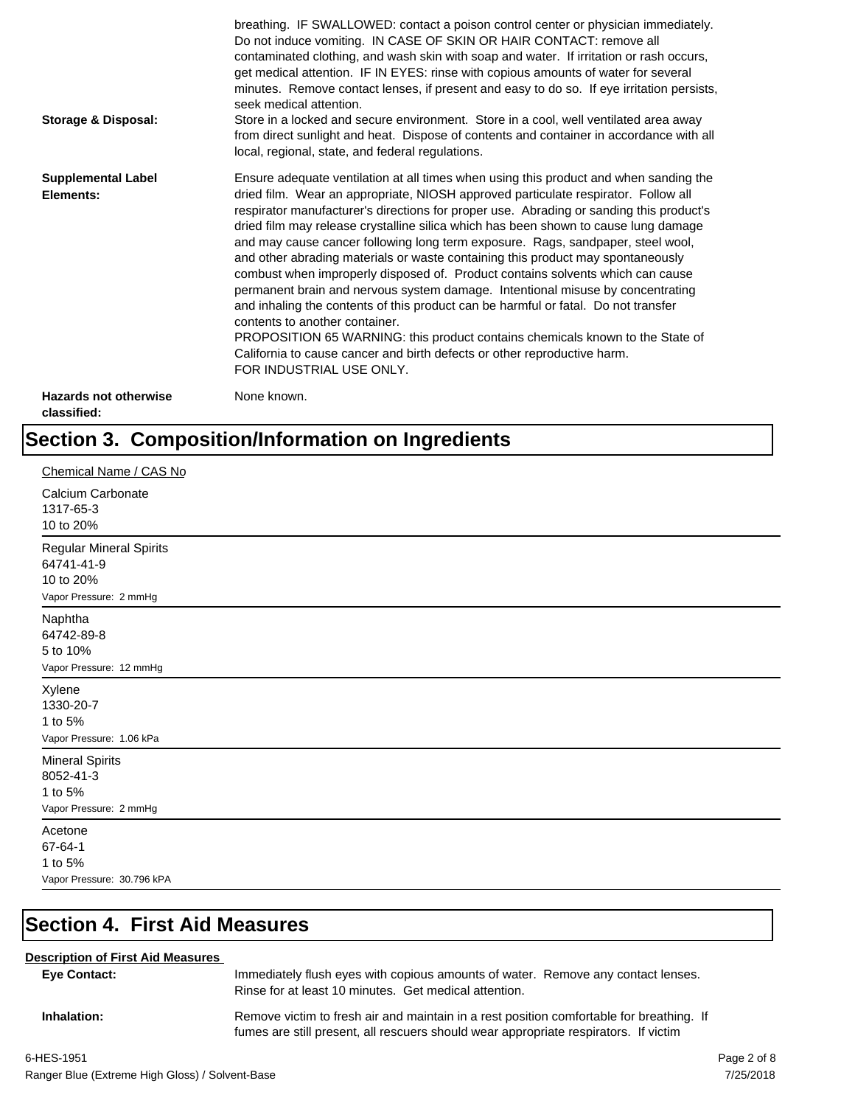| <b>Storage &amp; Disposal:</b>              | breathing. IF SWALLOWED: contact a poison control center or physician immediately.<br>Do not induce vomiting. IN CASE OF SKIN OR HAIR CONTACT: remove all<br>contaminated clothing, and wash skin with soap and water. If irritation or rash occurs,<br>get medical attention. IF IN EYES: rinse with copious amounts of water for several<br>minutes. Remove contact lenses, if present and easy to do so. If eye irritation persists,<br>seek medical attention.<br>Store in a locked and secure environment. Store in a cool, well ventilated area away<br>from direct sunlight and heat. Dispose of contents and container in accordance with all<br>local, regional, state, and federal regulations.                                                                                                                                                                                                                                                                                                                |
|---------------------------------------------|--------------------------------------------------------------------------------------------------------------------------------------------------------------------------------------------------------------------------------------------------------------------------------------------------------------------------------------------------------------------------------------------------------------------------------------------------------------------------------------------------------------------------------------------------------------------------------------------------------------------------------------------------------------------------------------------------------------------------------------------------------------------------------------------------------------------------------------------------------------------------------------------------------------------------------------------------------------------------------------------------------------------------|
| <b>Supplemental Label</b><br>Elements:      | Ensure adequate ventilation at all times when using this product and when sanding the<br>dried film. Wear an appropriate, NIOSH approved particulate respirator. Follow all<br>respirator manufacturer's directions for proper use. Abrading or sanding this product's<br>dried film may release crystalline silica which has been shown to cause lung damage<br>and may cause cancer following long term exposure. Rags, sandpaper, steel wool,<br>and other abrading materials or waste containing this product may spontaneously<br>combust when improperly disposed of. Product contains solvents which can cause<br>permanent brain and nervous system damage. Intentional misuse by concentrating<br>and inhaling the contents of this product can be harmful or fatal. Do not transfer<br>contents to another container.<br>PROPOSITION 65 WARNING: this product contains chemicals known to the State of<br>California to cause cancer and birth defects or other reproductive harm.<br>FOR INDUSTRIAL USE ONLY. |
| <b>Hazards not otherwise</b><br>classified: | None known.                                                                                                                                                                                                                                                                                                                                                                                                                                                                                                                                                                                                                                                                                                                                                                                                                                                                                                                                                                                                              |

## **Section 3. Composition/Information on Ingredients**

| Chemical Name / CAS No                                                       |
|------------------------------------------------------------------------------|
| Calcium Carbonate<br>1317-65-3<br>10 to 20%                                  |
| Regular Mineral Spirits<br>64741-41-9<br>10 to 20%<br>Vapor Pressure: 2 mmHg |
| Naphtha<br>64742-89-8<br>5 to 10%<br>Vapor Pressure: 12 mmHg                 |
| Xylene<br>1330-20-7<br>1 to 5%<br>Vapor Pressure: 1.06 kPa                   |
| <b>Mineral Spirits</b><br>8052-41-3<br>1 to 5%<br>Vapor Pressure: 2 mmHg     |
| Acetone<br>67-64-1<br>1 to 5%<br>Vapor Pressure: 30.796 kPA                  |

## **Section 4. First Aid Measures**

#### **Description of First Aid Measures**

| <b>Eve Contact:</b> | Immediately flush eyes with copious amounts of water. Remove any contact lenses.<br>Rinse for at least 10 minutes. Get medical attention.                                        |
|---------------------|----------------------------------------------------------------------------------------------------------------------------------------------------------------------------------|
| Inhalation:         | Remove victim to fresh air and maintain in a rest position comfortable for breathing. If<br>fumes are still present, all rescuers should wear appropriate respirators. If victim |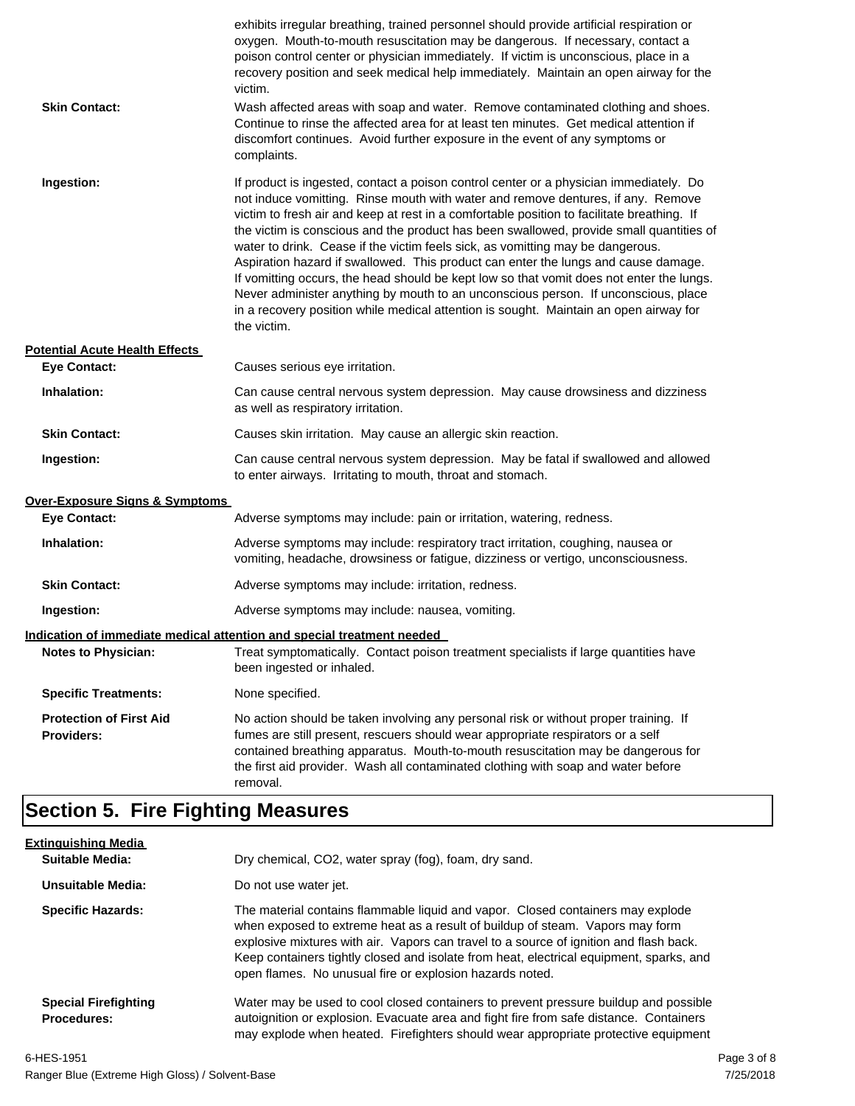| <b>Skin Contact:</b>                                | exhibits irregular breathing, trained personnel should provide artificial respiration or<br>oxygen. Mouth-to-mouth resuscitation may be dangerous. If necessary, contact a<br>poison control center or physician immediately. If victim is unconscious, place in a<br>recovery position and seek medical help immediately. Maintain an open airway for the<br>victim.<br>Wash affected areas with soap and water. Remove contaminated clothing and shoes.<br>Continue to rinse the affected area for at least ten minutes. Get medical attention if<br>discomfort continues. Avoid further exposure in the event of any symptoms or<br>complaints.                                                                                                                                                                                    |
|-----------------------------------------------------|---------------------------------------------------------------------------------------------------------------------------------------------------------------------------------------------------------------------------------------------------------------------------------------------------------------------------------------------------------------------------------------------------------------------------------------------------------------------------------------------------------------------------------------------------------------------------------------------------------------------------------------------------------------------------------------------------------------------------------------------------------------------------------------------------------------------------------------|
| Ingestion:                                          | If product is ingested, contact a poison control center or a physician immediately. Do<br>not induce vomitting. Rinse mouth with water and remove dentures, if any. Remove<br>victim to fresh air and keep at rest in a comfortable position to facilitate breathing. If<br>the victim is conscious and the product has been swallowed, provide small quantities of<br>water to drink. Cease if the victim feels sick, as vomitting may be dangerous.<br>Aspiration hazard if swallowed. This product can enter the lungs and cause damage.<br>If vomitting occurs, the head should be kept low so that vomit does not enter the lungs.<br>Never administer anything by mouth to an unconscious person. If unconscious, place<br>in a recovery position while medical attention is sought. Maintain an open airway for<br>the victim. |
| <b>Potential Acute Health Effects</b>               |                                                                                                                                                                                                                                                                                                                                                                                                                                                                                                                                                                                                                                                                                                                                                                                                                                       |
| <b>Eye Contact:</b>                                 | Causes serious eye irritation.                                                                                                                                                                                                                                                                                                                                                                                                                                                                                                                                                                                                                                                                                                                                                                                                        |
| Inhalation:                                         | Can cause central nervous system depression. May cause drowsiness and dizziness<br>as well as respiratory irritation.                                                                                                                                                                                                                                                                                                                                                                                                                                                                                                                                                                                                                                                                                                                 |
| <b>Skin Contact:</b>                                | Causes skin irritation. May cause an allergic skin reaction.                                                                                                                                                                                                                                                                                                                                                                                                                                                                                                                                                                                                                                                                                                                                                                          |
| Ingestion:                                          | Can cause central nervous system depression. May be fatal if swallowed and allowed<br>to enter airways. Irritating to mouth, throat and stomach.                                                                                                                                                                                                                                                                                                                                                                                                                                                                                                                                                                                                                                                                                      |
| <b>Over-Exposure Signs &amp; Symptoms</b>           |                                                                                                                                                                                                                                                                                                                                                                                                                                                                                                                                                                                                                                                                                                                                                                                                                                       |
| <b>Eye Contact:</b>                                 | Adverse symptoms may include: pain or irritation, watering, redness.                                                                                                                                                                                                                                                                                                                                                                                                                                                                                                                                                                                                                                                                                                                                                                  |
| Inhalation:                                         | Adverse symptoms may include: respiratory tract irritation, coughing, nausea or<br>vomiting, headache, drowsiness or fatigue, dizziness or vertigo, unconsciousness.                                                                                                                                                                                                                                                                                                                                                                                                                                                                                                                                                                                                                                                                  |
| <b>Skin Contact:</b>                                | Adverse symptoms may include: irritation, redness.                                                                                                                                                                                                                                                                                                                                                                                                                                                                                                                                                                                                                                                                                                                                                                                    |
| Ingestion:                                          | Adverse symptoms may include: nausea, vomiting.                                                                                                                                                                                                                                                                                                                                                                                                                                                                                                                                                                                                                                                                                                                                                                                       |
|                                                     | Indication of immediate medical attention and special treatment needed                                                                                                                                                                                                                                                                                                                                                                                                                                                                                                                                                                                                                                                                                                                                                                |
| <b>Notes to Physician:</b>                          | Treat symptomatically. Contact poison treatment specialists if large quantities have<br>been ingested or inhaled.                                                                                                                                                                                                                                                                                                                                                                                                                                                                                                                                                                                                                                                                                                                     |
| <b>Specific Treatments:</b>                         | None specified.                                                                                                                                                                                                                                                                                                                                                                                                                                                                                                                                                                                                                                                                                                                                                                                                                       |
| <b>Protection of First Aid</b><br><b>Providers:</b> | No action should be taken involving any personal risk or without proper training. If<br>fumes are still present, rescuers should wear appropriate respirators or a self<br>contained breathing apparatus. Mouth-to-mouth resuscitation may be dangerous for<br>the first aid provider. Wash all contaminated clothing with soap and water before<br>removal.                                                                                                                                                                                                                                                                                                                                                                                                                                                                          |

## **Section 5. Fire Fighting Measures**

| <b>Extinguishing Media</b>                        |                                                                                                                                                                                                                                                                                                                                                                                                                   |
|---------------------------------------------------|-------------------------------------------------------------------------------------------------------------------------------------------------------------------------------------------------------------------------------------------------------------------------------------------------------------------------------------------------------------------------------------------------------------------|
| Suitable Media:                                   | Dry chemical, CO2, water spray (fog), foam, dry sand.                                                                                                                                                                                                                                                                                                                                                             |
| Unsuitable Media:                                 | Do not use water jet.                                                                                                                                                                                                                                                                                                                                                                                             |
| <b>Specific Hazards:</b>                          | The material contains flammable liquid and vapor. Closed containers may explode<br>when exposed to extreme heat as a result of buildup of steam. Vapors may form<br>explosive mixtures with air. Vapors can travel to a source of ignition and flash back.<br>Keep containers tightly closed and isolate from heat, electrical equipment, sparks, and<br>open flames. No unusual fire or explosion hazards noted. |
| <b>Special Firefighting</b><br><b>Procedures:</b> | Water may be used to cool closed containers to prevent pressure buildup and possible<br>autoignition or explosion. Evacuate area and fight fire from safe distance. Containers<br>may explode when heated. Firefighters should wear appropriate protective equipment                                                                                                                                              |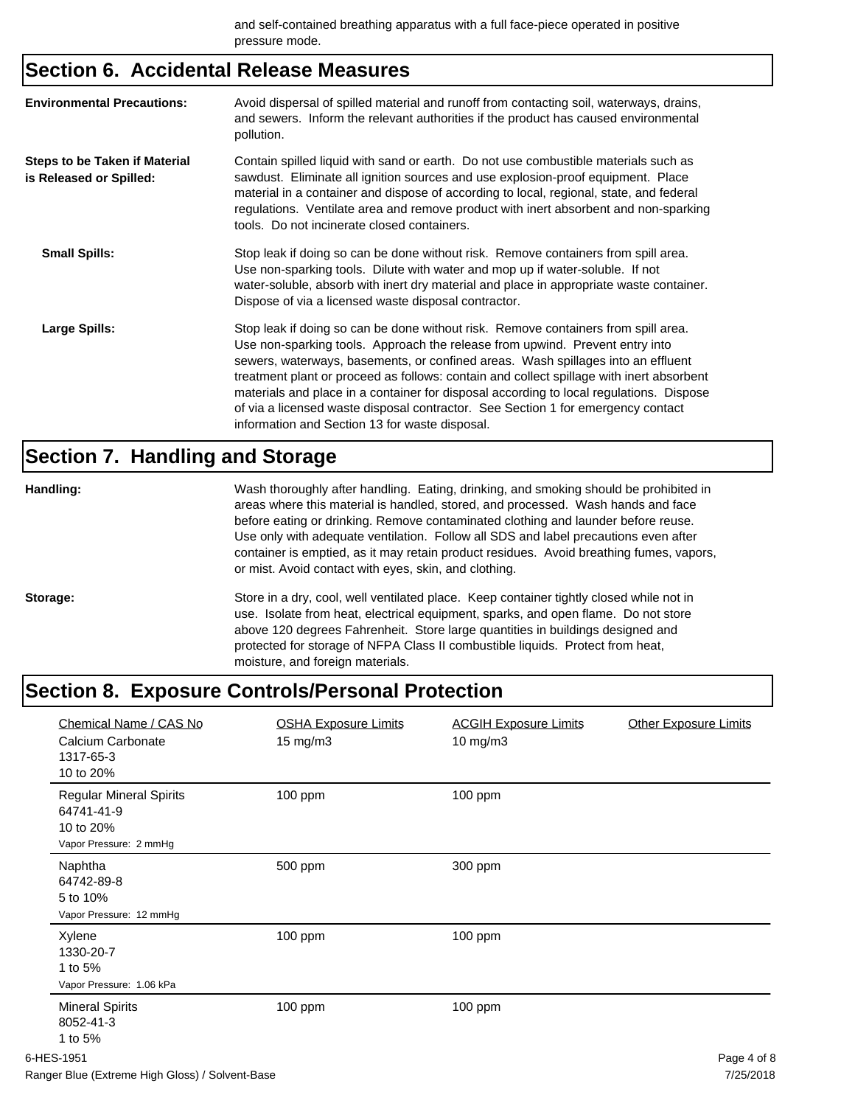## **Section 6. Accidental Release Measures**

| <b>Environmental Precautions:</b>                               | Avoid dispersal of spilled material and runoff from contacting soil, waterways, drains,<br>and sewers. Inform the relevant authorities if the product has caused environmental<br>pollution.                                                                                                                                                                                                                                                                                                                                                                                        |
|-----------------------------------------------------------------|-------------------------------------------------------------------------------------------------------------------------------------------------------------------------------------------------------------------------------------------------------------------------------------------------------------------------------------------------------------------------------------------------------------------------------------------------------------------------------------------------------------------------------------------------------------------------------------|
| <b>Steps to be Taken if Material</b><br>is Released or Spilled: | Contain spilled liquid with sand or earth. Do not use combustible materials such as<br>sawdust. Eliminate all ignition sources and use explosion-proof equipment. Place<br>material in a container and dispose of according to local, regional, state, and federal<br>regulations. Ventilate area and remove product with inert absorbent and non-sparking<br>tools. Do not incinerate closed containers.                                                                                                                                                                           |
| <b>Small Spills:</b>                                            | Stop leak if doing so can be done without risk. Remove containers from spill area.<br>Use non-sparking tools. Dilute with water and mop up if water-soluble. If not<br>water-soluble, absorb with inert dry material and place in appropriate waste container.<br>Dispose of via a licensed waste disposal contractor.                                                                                                                                                                                                                                                              |
| Large Spills:                                                   | Stop leak if doing so can be done without risk. Remove containers from spill area.<br>Use non-sparking tools. Approach the release from upwind. Prevent entry into<br>sewers, waterways, basements, or confined areas. Wash spillages into an effluent<br>treatment plant or proceed as follows: contain and collect spillage with inert absorbent<br>materials and place in a container for disposal according to local regulations. Dispose<br>of via a licensed waste disposal contractor. See Section 1 for emergency contact<br>information and Section 13 for waste disposal. |

## **Section 7. Handling and Storage**

| Handling: | Wash thoroughly after handling. Eating, drinking, and smoking should be prohibited in<br>areas where this material is handled, stored, and processed. Wash hands and face<br>before eating or drinking. Remove contaminated clothing and launder before reuse.<br>Use only with adequate ventilation. Follow all SDS and label precautions even after<br>container is emptied, as it may retain product residues. Avoid breathing fumes, vapors,<br>or mist. Avoid contact with eyes, skin, and clothing. |
|-----------|-----------------------------------------------------------------------------------------------------------------------------------------------------------------------------------------------------------------------------------------------------------------------------------------------------------------------------------------------------------------------------------------------------------------------------------------------------------------------------------------------------------|
| Storage:  | Store in a dry, cool, well ventilated place. Keep container tightly closed while not in<br>use. Isolate from heat, electrical equipment, sparks, and open flame. Do not store<br>above 120 degrees Fahrenheit. Store large quantities in buildings designed and<br>protected for storage of NFPA Class II combustible liquids. Protect from heat,<br>moisture, and foreign materials.                                                                                                                     |

## **Section 8. Exposure Controls/Personal Protection**

| Chemical Name / CAS No<br>Calcium Carbonate<br>1317-65-3<br>10 to 20%               | <b>OSHA Exposure Limits</b><br>$15 \text{ mg/m}$ | <b>ACGIH Exposure Limits</b><br>10 mg/m3 | <b>Other Exposure Limits</b> |
|-------------------------------------------------------------------------------------|--------------------------------------------------|------------------------------------------|------------------------------|
| <b>Regular Mineral Spirits</b><br>64741-41-9<br>10 to 20%<br>Vapor Pressure: 2 mmHg | 100 ppm                                          | 100 ppm                                  |                              |
| Naphtha<br>64742-89-8<br>5 to 10%<br>Vapor Pressure: 12 mmHg                        | 500 ppm                                          | 300 ppm                                  |                              |
| Xylene<br>1330-20-7<br>1 to 5%<br>Vapor Pressure: 1.06 kPa                          | 100 ppm                                          | 100 ppm                                  |                              |
| <b>Mineral Spirits</b><br>8052-41-3<br>1 to 5%                                      | 100 ppm                                          | 100 ppm                                  |                              |
| 6-HES-1951                                                                          |                                                  |                                          | Page 4 of 8                  |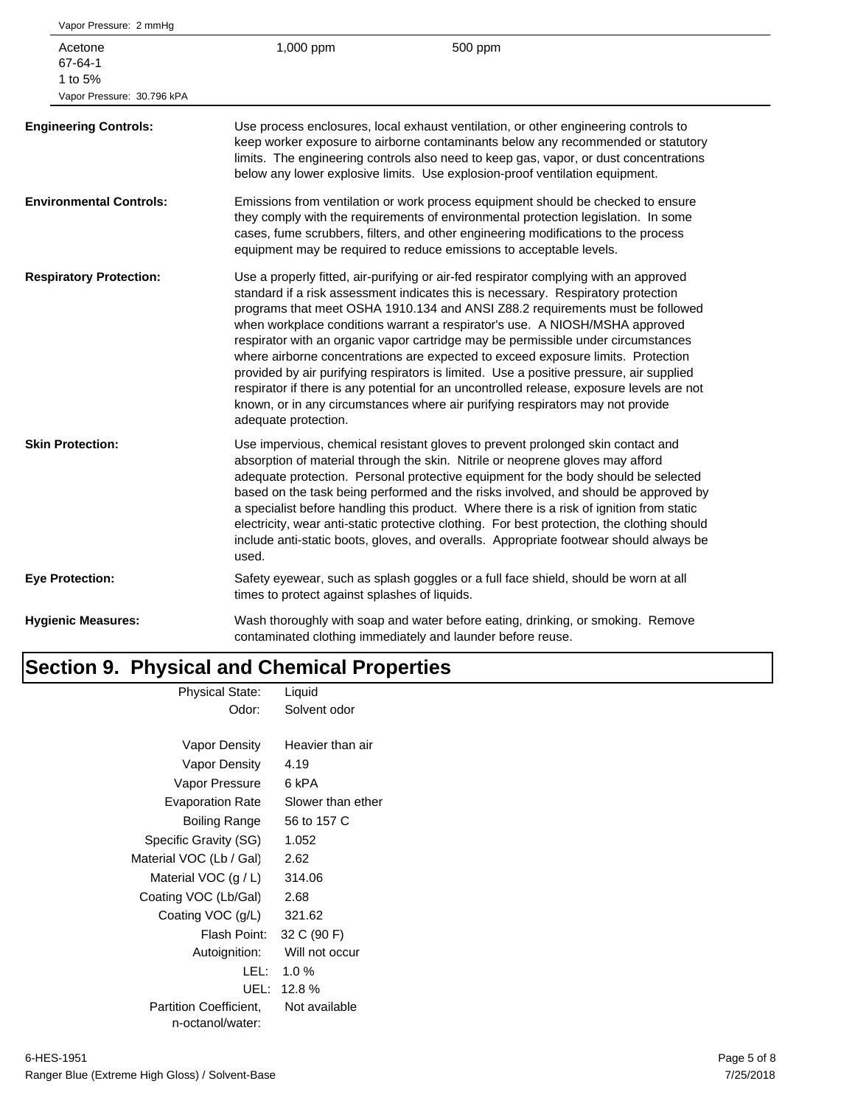| Vapor Pressure: 2 mmHg                                      |                                               |                                                                                                                                                                                                                                                                                                                                                                                                                                                                                                                                                                                                                                                                                                                                                                                               |
|-------------------------------------------------------------|-----------------------------------------------|-----------------------------------------------------------------------------------------------------------------------------------------------------------------------------------------------------------------------------------------------------------------------------------------------------------------------------------------------------------------------------------------------------------------------------------------------------------------------------------------------------------------------------------------------------------------------------------------------------------------------------------------------------------------------------------------------------------------------------------------------------------------------------------------------|
| Acetone<br>67-64-1<br>1 to 5%<br>Vapor Pressure: 30.796 kPA | 1,000 ppm                                     | 500 ppm                                                                                                                                                                                                                                                                                                                                                                                                                                                                                                                                                                                                                                                                                                                                                                                       |
| <b>Engineering Controls:</b>                                |                                               | Use process enclosures, local exhaust ventilation, or other engineering controls to<br>keep worker exposure to airborne contaminants below any recommended or statutory<br>limits. The engineering controls also need to keep gas, vapor, or dust concentrations<br>below any lower explosive limits. Use explosion-proof ventilation equipment.                                                                                                                                                                                                                                                                                                                                                                                                                                              |
| <b>Environmental Controls:</b>                              |                                               | Emissions from ventilation or work process equipment should be checked to ensure<br>they comply with the requirements of environmental protection legislation. In some<br>cases, fume scrubbers, filters, and other engineering modifications to the process<br>equipment may be required to reduce emissions to acceptable levels.                                                                                                                                                                                                                                                                                                                                                                                                                                                           |
| <b>Respiratory Protection:</b>                              | adequate protection.                          | Use a properly fitted, air-purifying or air-fed respirator complying with an approved<br>standard if a risk assessment indicates this is necessary. Respiratory protection<br>programs that meet OSHA 1910.134 and ANSI Z88.2 requirements must be followed<br>when workplace conditions warrant a respirator's use. A NIOSH/MSHA approved<br>respirator with an organic vapor cartridge may be permissible under circumstances<br>where airborne concentrations are expected to exceed exposure limits. Protection<br>provided by air purifying respirators is limited. Use a positive pressure, air supplied<br>respirator if there is any potential for an uncontrolled release, exposure levels are not<br>known, or in any circumstances where air purifying respirators may not provide |
| <b>Skin Protection:</b>                                     | used.                                         | Use impervious, chemical resistant gloves to prevent prolonged skin contact and<br>absorption of material through the skin. Nitrile or neoprene gloves may afford<br>adequate protection. Personal protective equipment for the body should be selected<br>based on the task being performed and the risks involved, and should be approved by<br>a specialist before handling this product. Where there is a risk of ignition from static<br>electricity, wear anti-static protective clothing. For best protection, the clothing should<br>include anti-static boots, gloves, and overalls. Appropriate footwear should always be                                                                                                                                                           |
| <b>Eye Protection:</b>                                      | times to protect against splashes of liquids. | Safety eyewear, such as splash goggles or a full face shield, should be worn at all                                                                                                                                                                                                                                                                                                                                                                                                                                                                                                                                                                                                                                                                                                           |
| <b>Hygienic Measures:</b>                                   |                                               | Wash thoroughly with soap and water before eating, drinking, or smoking. Remove<br>contaminated clothing immediately and launder before reuse.                                                                                                                                                                                                                                                                                                                                                                                                                                                                                                                                                                                                                                                |
|                                                             |                                               |                                                                                                                                                                                                                                                                                                                                                                                                                                                                                                                                                                                                                                                                                                                                                                                               |

#### **Section 9. Physical and Chemical Properties** Physical State: Liquid

| riiysidal oldie.              | Liyulu            |
|-------------------------------|-------------------|
| Odor:                         | Solvent odor      |
|                               |                   |
| Vapor Density                 | Heavier than air  |
| Vapor Density                 | 4.19              |
| Vapor Pressure                | 6 kPA             |
| <b>Evaporation Rate</b>       | Slower than ether |
| Boiling Range                 | 56 to 157 C       |
| Specific Gravity (SG)         | 1.052             |
| Material VOC (Lb / Gal)       | 2.62              |
| Material VOC $(g/L)$          | 314.06            |
| Coating VOC (Lb/Gal)          | 2.68              |
| Coating VOC (g/L)             | 321.62            |
| Flash Point:                  | 32 C (90 F)       |
| Autoignition:                 | Will not occur    |
| LEL:                          | $1.0 \%$          |
| UEL:                          | 12.8%             |
| <b>Partition Coefficient.</b> | Not available     |
| n-octanol/water:              |                   |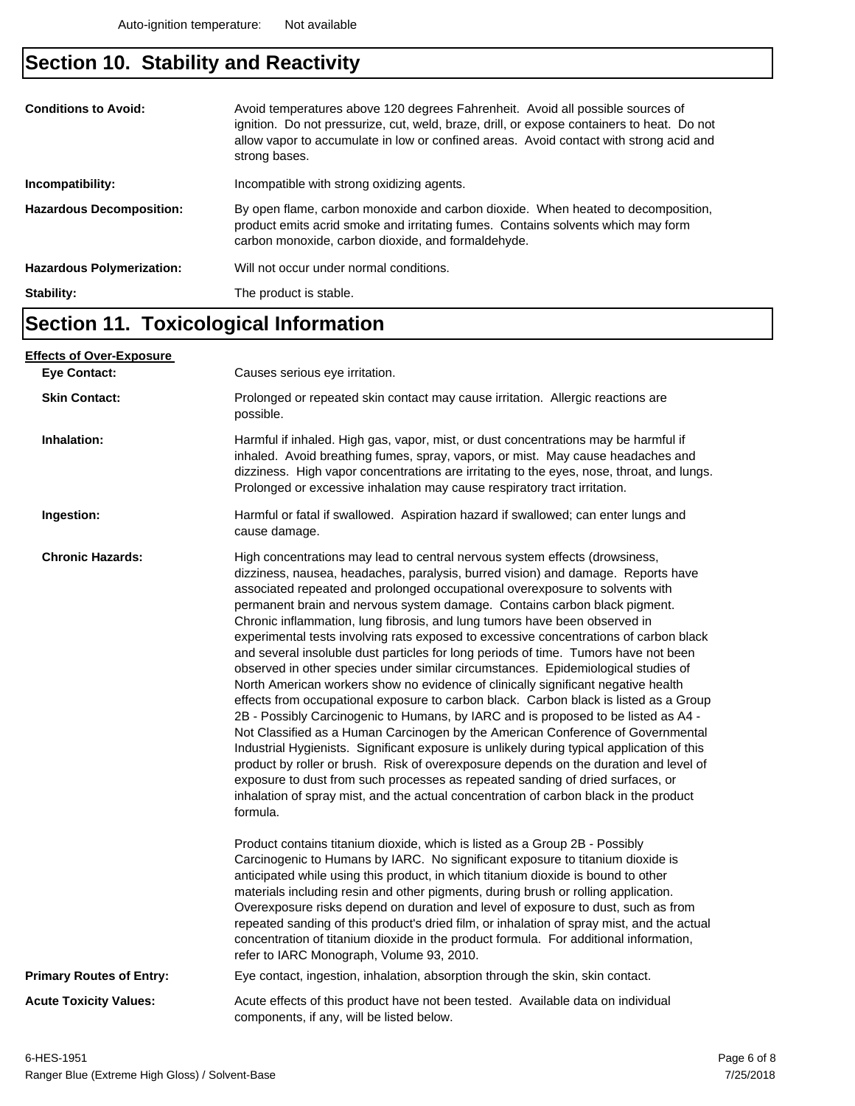## **Section 10. Stability and Reactivity**

| <b>Conditions to Avoid:</b><br>Incompatibility: | Avoid temperatures above 120 degrees Fahrenheit. Avoid all possible sources of<br>ignition. Do not pressurize, cut, weld, braze, drill, or expose containers to heat. Do not<br>allow vapor to accumulate in low or confined areas. Avoid contact with strong acid and<br>strong bases.<br>Incompatible with strong oxidizing agents. |
|-------------------------------------------------|---------------------------------------------------------------------------------------------------------------------------------------------------------------------------------------------------------------------------------------------------------------------------------------------------------------------------------------|
|                                                 |                                                                                                                                                                                                                                                                                                                                       |
| <b>Hazardous Decomposition:</b>                 | By open flame, carbon monoxide and carbon dioxide. When heated to decomposition,<br>product emits acrid smoke and irritating fumes. Contains solvents which may form<br>carbon monoxide, carbon dioxide, and formaldehyde.                                                                                                            |
| <b>Hazardous Polymerization:</b>                | Will not occur under normal conditions.                                                                                                                                                                                                                                                                                               |
| Stability:                                      | The product is stable.                                                                                                                                                                                                                                                                                                                |

### **Section 11. Toxicological Information**

| <u>Effects of Over-Exposure_</u> |                                                                                                                                                                                                                                                                                                                                                                                                                                                                                                                                                                                                                                                                                                                                                                                                                                                                                                                                                                                                                                                                                                                                                                                                                                                                                                                                                                                                                      |  |  |
|----------------------------------|----------------------------------------------------------------------------------------------------------------------------------------------------------------------------------------------------------------------------------------------------------------------------------------------------------------------------------------------------------------------------------------------------------------------------------------------------------------------------------------------------------------------------------------------------------------------------------------------------------------------------------------------------------------------------------------------------------------------------------------------------------------------------------------------------------------------------------------------------------------------------------------------------------------------------------------------------------------------------------------------------------------------------------------------------------------------------------------------------------------------------------------------------------------------------------------------------------------------------------------------------------------------------------------------------------------------------------------------------------------------------------------------------------------------|--|--|
| <b>Eve Contact:</b>              | Causes serious eye irritation.                                                                                                                                                                                                                                                                                                                                                                                                                                                                                                                                                                                                                                                                                                                                                                                                                                                                                                                                                                                                                                                                                                                                                                                                                                                                                                                                                                                       |  |  |
| <b>Skin Contact:</b>             | Prolonged or repeated skin contact may cause irritation. Allergic reactions are<br>possible.                                                                                                                                                                                                                                                                                                                                                                                                                                                                                                                                                                                                                                                                                                                                                                                                                                                                                                                                                                                                                                                                                                                                                                                                                                                                                                                         |  |  |
| Inhalation:                      | Harmful if inhaled. High gas, vapor, mist, or dust concentrations may be harmful if<br>inhaled. Avoid breathing fumes, spray, vapors, or mist. May cause headaches and<br>dizziness. High vapor concentrations are irritating to the eyes, nose, throat, and lungs.<br>Prolonged or excessive inhalation may cause respiratory tract irritation.                                                                                                                                                                                                                                                                                                                                                                                                                                                                                                                                                                                                                                                                                                                                                                                                                                                                                                                                                                                                                                                                     |  |  |
| Ingestion:                       | Harmful or fatal if swallowed. Aspiration hazard if swallowed; can enter lungs and<br>cause damage.                                                                                                                                                                                                                                                                                                                                                                                                                                                                                                                                                                                                                                                                                                                                                                                                                                                                                                                                                                                                                                                                                                                                                                                                                                                                                                                  |  |  |
| <b>Chronic Hazards:</b>          | High concentrations may lead to central nervous system effects (drowsiness,<br>dizziness, nausea, headaches, paralysis, burred vision) and damage. Reports have<br>associated repeated and prolonged occupational overexposure to solvents with<br>permanent brain and nervous system damage. Contains carbon black pigment.<br>Chronic inflammation, lung fibrosis, and lung tumors have been observed in<br>experimental tests involving rats exposed to excessive concentrations of carbon black<br>and several insoluble dust particles for long periods of time. Tumors have not been<br>observed in other species under similar circumstances. Epidemiological studies of<br>North American workers show no evidence of clinically significant negative health<br>effects from occupational exposure to carbon black. Carbon black is listed as a Group<br>2B - Possibly Carcinogenic to Humans, by IARC and is proposed to be listed as A4 -<br>Not Classified as a Human Carcinogen by the American Conference of Governmental<br>Industrial Hygienists. Significant exposure is unlikely during typical application of this<br>product by roller or brush. Risk of overexposure depends on the duration and level of<br>exposure to dust from such processes as repeated sanding of dried surfaces, or<br>inhalation of spray mist, and the actual concentration of carbon black in the product<br>formula. |  |  |
|                                  | Product contains titanium dioxide, which is listed as a Group 2B - Possibly<br>Carcinogenic to Humans by IARC. No significant exposure to titanium dioxide is<br>anticipated while using this product, in which titanium dioxide is bound to other<br>materials including resin and other pigments, during brush or rolling application.<br>Overexposure risks depend on duration and level of exposure to dust, such as from<br>repeated sanding of this product's dried film, or inhalation of spray mist, and the actual<br>concentration of titanium dioxide in the product formula. For additional information,<br>refer to IARC Monograph, Volume 93, 2010.                                                                                                                                                                                                                                                                                                                                                                                                                                                                                                                                                                                                                                                                                                                                                    |  |  |
| <b>Primary Routes of Entry:</b>  | Eye contact, ingestion, inhalation, absorption through the skin, skin contact.                                                                                                                                                                                                                                                                                                                                                                                                                                                                                                                                                                                                                                                                                                                                                                                                                                                                                                                                                                                                                                                                                                                                                                                                                                                                                                                                       |  |  |
| <b>Acute Toxicity Values:</b>    | Acute effects of this product have not been tested. Available data on individual<br>components, if any, will be listed below.                                                                                                                                                                                                                                                                                                                                                                                                                                                                                                                                                                                                                                                                                                                                                                                                                                                                                                                                                                                                                                                                                                                                                                                                                                                                                        |  |  |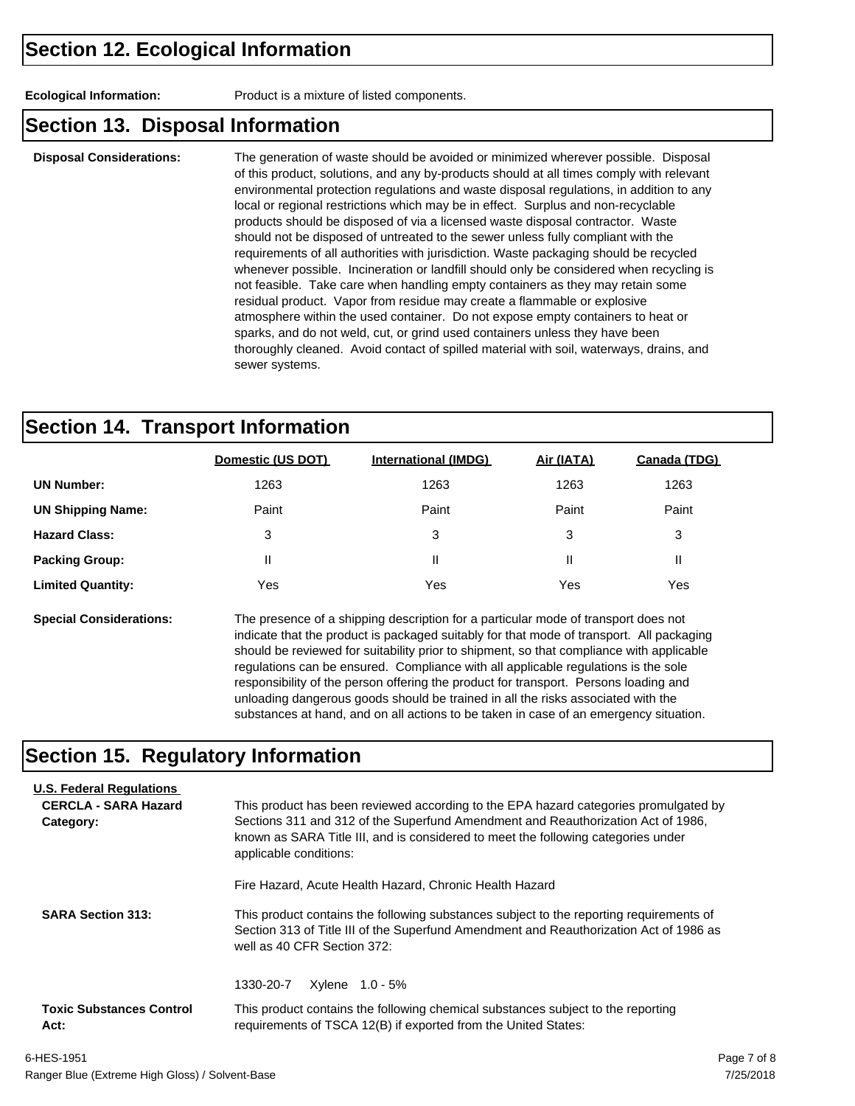**Ecological Information:** Product is a mixture of listed components.

#### **Section 13. Disposal Information**

**Disposal Considerations:** The generation of waste should be avoided or minimized wherever possible. Disposal of this product, solutions, and any by-products should at all times comply with relevant environmental protection regulations and waste disposal regulations, in addition to any local or regional restrictions which may be in effect. Surplus and non-recyclable products should be disposed of via a licensed waste disposal contractor. Waste should not be disposed of untreated to the sewer unless fully compliant with the requirements of all authorities with jurisdiction. Waste packaging should be recycled whenever possible. Incineration or landfill should only be considered when recycling is not feasible. Take care when handling empty containers as they may retain some residual product. Vapor from residue may create a flammable or explosive atmosphere within the used container. Do not expose empty containers to heat or sparks, and do not weld, cut, or grind used containers unless they have been thoroughly cleaned. Avoid contact of spilled material with soil, waterways, drains, and sewer systems.

### **Section 14. Transport Information**

|                          | Domestic (US DOT) | <b>International (IMDG)</b> | Air (IATA) | Canada (TDG) |
|--------------------------|-------------------|-----------------------------|------------|--------------|
| <b>UN Number:</b>        | 1263              | 1263                        | 1263       | 1263         |
| <b>UN Shipping Name:</b> | Paint             | Paint                       | Paint      | Paint        |
| <b>Hazard Class:</b>     | 3                 | 3                           | 3          | 3            |
| <b>Packing Group:</b>    | $\mathsf{I}$      | Ш                           | Ш          | Ш            |
| <b>Limited Quantity:</b> | Yes               | Yes                         | Yes        | Yes          |
|                          |                   |                             |            |              |

**Special Considerations:** The presence of a shipping description for a particular mode of transport does not indicate that the product is packaged suitably for that mode of transport. All packaging should be reviewed for suitability prior to shipment, so that compliance with applicable regulations can be ensured. Compliance with all applicable regulations is the sole responsibility of the person offering the product for transport. Persons loading and unloading dangerous goods should be trained in all the risks associated with the substances at hand, and on all actions to be taken in case of an emergency situation.

#### **Section 15. Regulatory Information**

| <b>U.S. Federal Regulations</b><br><b>CERCLA - SARA Hazard</b><br>Category: | This product has been reviewed according to the EPA hazard categories promulgated by<br>Sections 311 and 312 of the Superfund Amendment and Reauthorization Act of 1986.<br>known as SARA Title III, and is considered to meet the following categories under<br>applicable conditions: |  |  |  |
|-----------------------------------------------------------------------------|-----------------------------------------------------------------------------------------------------------------------------------------------------------------------------------------------------------------------------------------------------------------------------------------|--|--|--|
|                                                                             | Fire Hazard, Acute Health Hazard, Chronic Health Hazard                                                                                                                                                                                                                                 |  |  |  |
| <b>SARA Section 313:</b>                                                    | This product contains the following substances subject to the reporting requirements of<br>Section 313 of Title III of the Superfund Amendment and Reauthorization Act of 1986 as<br>well as 40 CFR Section 372:                                                                        |  |  |  |
|                                                                             | Xylene 1.0 - 5%<br>1330-20-7                                                                                                                                                                                                                                                            |  |  |  |
| <b>Toxic Substances Control</b><br>Act:                                     | This product contains the following chemical substances subject to the reporting<br>requirements of TSCA 12(B) if exported from the United States:                                                                                                                                      |  |  |  |